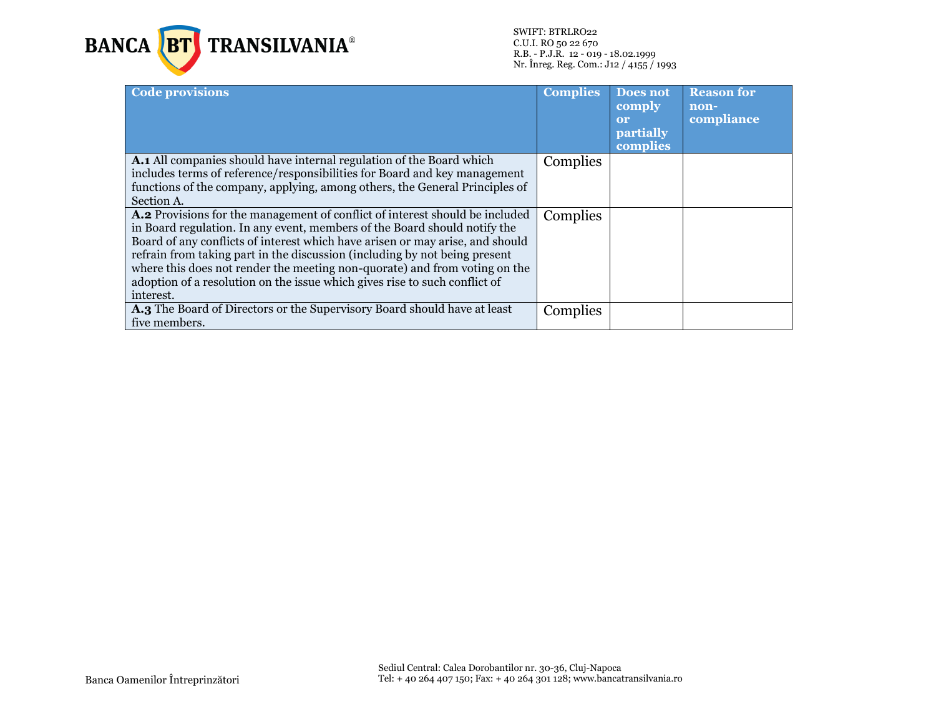

SWIFT: BTRLRO22 C.U.I. RO 50 22 670 R.B. - P.J.R. 12 - 019 - 18.02.1999 Nr. Înreg. Reg. Com.: J12 / 4155 / 1993

| Code provisions                                                                                                                                                                                                                                                                                                                                                                                                                                                                                   | <b>Complies</b> | Does not<br>comply<br>or<br><b>partially</b><br>complies | <b>Reason for</b><br>non-<br>compliance |
|---------------------------------------------------------------------------------------------------------------------------------------------------------------------------------------------------------------------------------------------------------------------------------------------------------------------------------------------------------------------------------------------------------------------------------------------------------------------------------------------------|-----------------|----------------------------------------------------------|-----------------------------------------|
| A.1 All companies should have internal regulation of the Board which<br>includes terms of reference/responsibilities for Board and key management<br>functions of the company, applying, among others, the General Principles of<br>Section A.                                                                                                                                                                                                                                                    | Complies        |                                                          |                                         |
| A.2 Provisions for the management of conflict of interest should be included<br>in Board regulation. In any event, members of the Board should notify the<br>Board of any conflicts of interest which have arisen or may arise, and should<br>refrain from taking part in the discussion (including by not being present<br>where this does not render the meeting non-quorate) and from voting on the<br>adoption of a resolution on the issue which gives rise to such conflict of<br>interest. | Complies        |                                                          |                                         |
| A.3 The Board of Directors or the Supervisory Board should have at least<br>five members.                                                                                                                                                                                                                                                                                                                                                                                                         | Complies        |                                                          |                                         |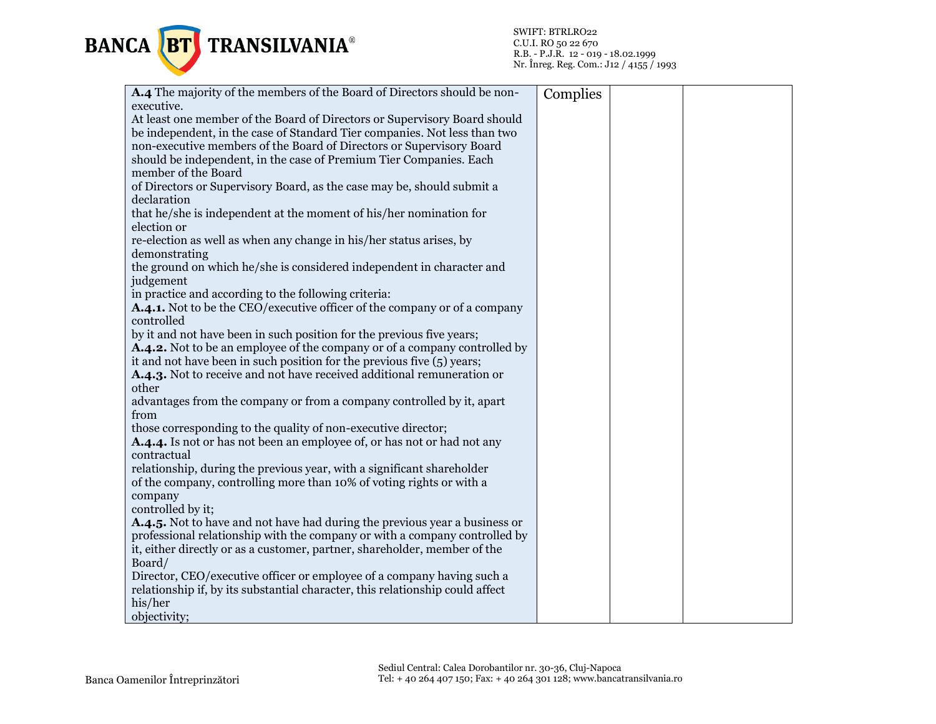

| A.4 The majority of the members of the Board of Directors should be non-<br>executive. | Complies |  |
|----------------------------------------------------------------------------------------|----------|--|
| At least one member of the Board of Directors or Supervisory Board should              |          |  |
| be independent, in the case of Standard Tier companies. Not less than two              |          |  |
| non-executive members of the Board of Directors or Supervisory Board                   |          |  |
| should be independent, in the case of Premium Tier Companies. Each                     |          |  |
| member of the Board                                                                    |          |  |
| of Directors or Supervisory Board, as the case may be, should submit a                 |          |  |
| declaration                                                                            |          |  |
| that he/she is independent at the moment of his/her nomination for                     |          |  |
| election or                                                                            |          |  |
| re-election as well as when any change in his/her status arises, by                    |          |  |
| demonstrating                                                                          |          |  |
| the ground on which he/she is considered independent in character and                  |          |  |
| judgement                                                                              |          |  |
| in practice and according to the following criteria:                                   |          |  |
| <b>A.4.1.</b> Not to be the CEO/executive officer of the company or of a company       |          |  |
| controlled                                                                             |          |  |
| by it and not have been in such position for the previous five years;                  |          |  |
| A.4.2. Not to be an employee of the company or of a company controlled by              |          |  |
| it and not have been in such position for the previous five $(5)$ years;               |          |  |
| A.4.3. Not to receive and not have received additional remuneration or                 |          |  |
| other                                                                                  |          |  |
| advantages from the company or from a company controlled by it, apart                  |          |  |
| from                                                                                   |          |  |
| those corresponding to the quality of non-executive director;                          |          |  |
| A.4.4. Is not or has not been an employee of, or has not or had not any                |          |  |
| contractual                                                                            |          |  |
| relationship, during the previous year, with a significant shareholder                 |          |  |
| of the company, controlling more than 10% of voting rights or with a                   |          |  |
| company                                                                                |          |  |
| controlled by it;                                                                      |          |  |
| A.4.5. Not to have and not have had during the previous year a business or             |          |  |
| professional relationship with the company or with a company controlled by             |          |  |
| it, either directly or as a customer, partner, shareholder, member of the              |          |  |
| Board/                                                                                 |          |  |
| Director, CEO/executive officer or employee of a company having such a                 |          |  |
| relationship if, by its substantial character, this relationship could affect          |          |  |
| his/her                                                                                |          |  |
| objectivity;                                                                           |          |  |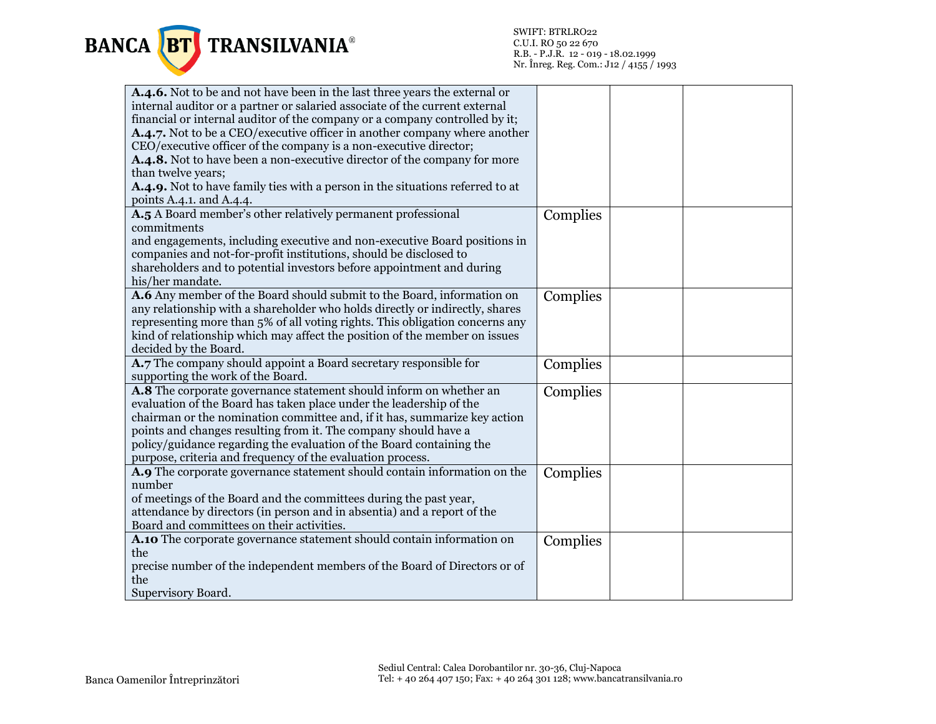

| A.4.6. Not to be and not have been in the last three years the external or<br>internal auditor or a partner or salaried associate of the current external<br>financial or internal auditor of the company or a company controlled by it;<br>A.4.7. Not to be a CEO/executive officer in another company where another<br>CEO/executive officer of the company is a non-executive director;<br>A.4.8. Not to have been a non-executive director of the company for more |          |  |
|------------------------------------------------------------------------------------------------------------------------------------------------------------------------------------------------------------------------------------------------------------------------------------------------------------------------------------------------------------------------------------------------------------------------------------------------------------------------|----------|--|
| than twelve years;                                                                                                                                                                                                                                                                                                                                                                                                                                                     |          |  |
| A.4.9. Not to have family ties with a person in the situations referred to at                                                                                                                                                                                                                                                                                                                                                                                          |          |  |
| points A.4.1. and A.4.4.                                                                                                                                                                                                                                                                                                                                                                                                                                               |          |  |
| A.5 A Board member's other relatively permanent professional<br>commitments<br>and engagements, including executive and non-executive Board positions in<br>companies and not-for-profit institutions, should be disclosed to                                                                                                                                                                                                                                          | Complies |  |
| shareholders and to potential investors before appointment and during<br>his/her mandate.                                                                                                                                                                                                                                                                                                                                                                              |          |  |
| A.6 Any member of the Board should submit to the Board, information on<br>any relationship with a shareholder who holds directly or indirectly, shares<br>representing more than 5% of all voting rights. This obligation concerns any<br>kind of relationship which may affect the position of the member on issues<br>decided by the Board.                                                                                                                          | Complies |  |
| A.7 The company should appoint a Board secretary responsible for<br>supporting the work of the Board.                                                                                                                                                                                                                                                                                                                                                                  | Complies |  |
| A.8 The corporate governance statement should inform on whether an<br>evaluation of the Board has taken place under the leadership of the<br>chairman or the nomination committee and, if it has, summarize key action<br>points and changes resulting from it. The company should have a<br>policy/guidance regarding the evaluation of the Board containing the<br>purpose, criteria and frequency of the evaluation process.                                        | Complies |  |
| A.9 The corporate governance statement should contain information on the<br>number<br>of meetings of the Board and the committees during the past year,<br>attendance by directors (in person and in absentia) and a report of the<br>Board and committees on their activities.                                                                                                                                                                                        | Complies |  |
| A.10 The corporate governance statement should contain information on<br>the<br>precise number of the independent members of the Board of Directors or of<br>the<br>Supervisory Board.                                                                                                                                                                                                                                                                                 | Complies |  |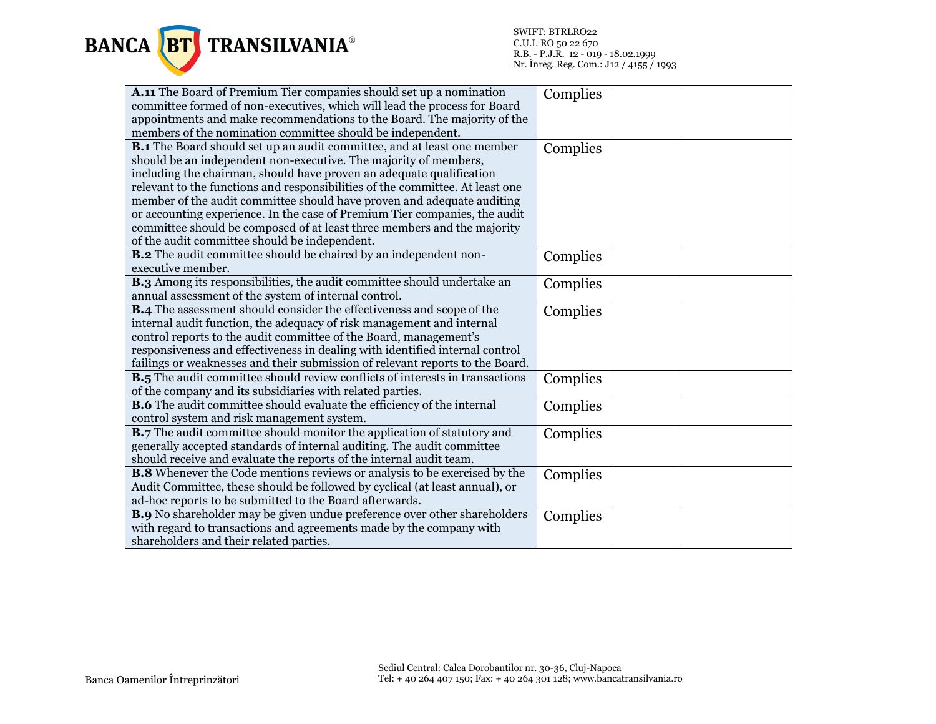

| A.11 The Board of Premium Tier companies should set up a nomination                 | Complies |
|-------------------------------------------------------------------------------------|----------|
| committee formed of non-executives, which will lead the process for Board           |          |
| appointments and make recommendations to the Board. The majority of the             |          |
| members of the nomination committee should be independent.                          |          |
| <b>B.1</b> The Board should set up an audit committee, and at least one member      | Complies |
| should be an independent non-executive. The majority of members,                    |          |
| including the chairman, should have proven an adequate qualification                |          |
| relevant to the functions and responsibilities of the committee. At least one       |          |
| member of the audit committee should have proven and adequate auditing              |          |
| or accounting experience. In the case of Premium Tier companies, the audit          |          |
| committee should be composed of at least three members and the majority             |          |
| of the audit committee should be independent.                                       |          |
| <b>B.2</b> The audit committee should be chaired by an independent non-             | Complies |
| executive member.                                                                   |          |
| B.3 Among its responsibilities, the audit committee should undertake an             | Complies |
| annual assessment of the system of internal control.                                |          |
| <b>B.4</b> The assessment should consider the effectiveness and scope of the        | Complies |
| internal audit function, the adequacy of risk management and internal               |          |
| control reports to the audit committee of the Board, management's                   |          |
| responsiveness and effectiveness in dealing with identified internal control        |          |
| failings or weaknesses and their submission of relevant reports to the Board.       |          |
| <b>B.5</b> The audit committee should review conflicts of interests in transactions | Complies |
| of the company and its subsidiaries with related parties.                           |          |
| <b>B.6</b> The audit committee should evaluate the efficiency of the internal       | Complies |
| control system and risk management system.                                          |          |
| <b>B.7</b> The audit committee should monitor the application of statutory and      | Complies |
| generally accepted standards of internal auditing. The audit committee              |          |
| should receive and evaluate the reports of the internal audit team.                 |          |
| <b>B.8</b> Whenever the Code mentions reviews or analysis to be exercised by the    | Complies |
| Audit Committee, these should be followed by cyclical (at least annual), or         |          |
| ad-hoc reports to be submitted to the Board afterwards.                             |          |
| B.9 No shareholder may be given undue preference over other shareholders            | Complies |
| with regard to transactions and agreements made by the company with                 |          |
| shareholders and their related parties.                                             |          |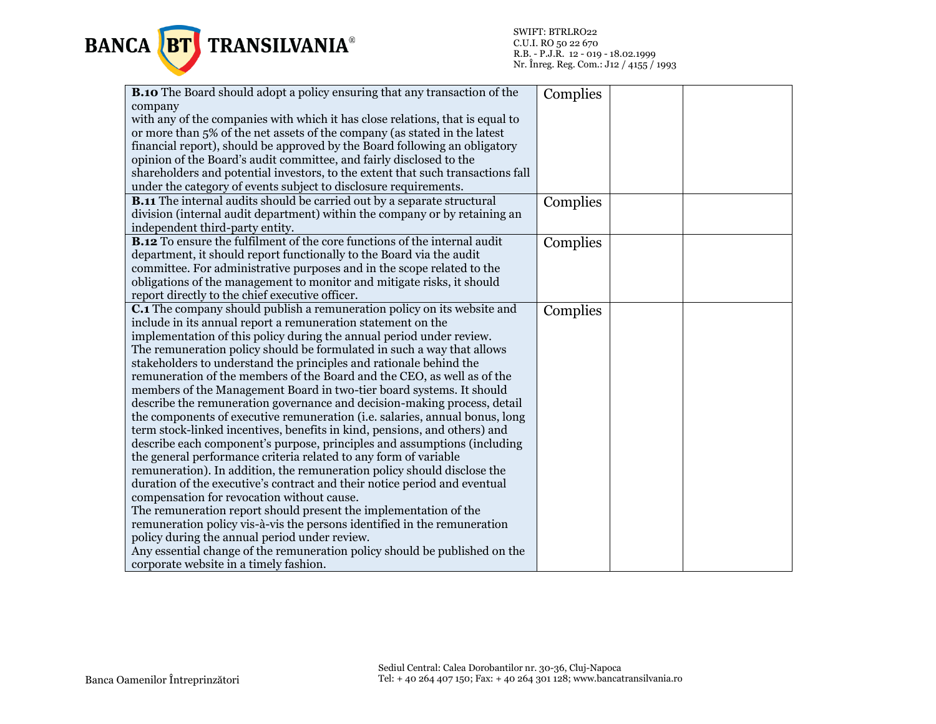

| <b>B.10</b> The Board should adopt a policy ensuring that any transaction of the | Complies |  |
|----------------------------------------------------------------------------------|----------|--|
| company                                                                          |          |  |
| with any of the companies with which it has close relations, that is equal to    |          |  |
| or more than 5% of the net assets of the company (as stated in the latest        |          |  |
| financial report), should be approved by the Board following an obligatory       |          |  |
| opinion of the Board's audit committee, and fairly disclosed to the              |          |  |
| shareholders and potential investors, to the extent that such transactions fall  |          |  |
| under the category of events subject to disclosure requirements.                 |          |  |
| <b>B.11</b> The internal audits should be carried out by a separate structural   | Complies |  |
| division (internal audit department) within the company or by retaining an       |          |  |
| independent third-party entity.                                                  |          |  |
| <b>B.12</b> To ensure the fulfilment of the core functions of the internal audit | Complies |  |
| department, it should report functionally to the Board via the audit             |          |  |
| committee. For administrative purposes and in the scope related to the           |          |  |
| obligations of the management to monitor and mitigate risks, it should           |          |  |
| report directly to the chief executive officer.                                  |          |  |
| <b>C.1</b> The company should publish a remuneration policy on its website and   | Complies |  |
| include in its annual report a remuneration statement on the                     |          |  |
| implementation of this policy during the annual period under review.             |          |  |
| The remuneration policy should be formulated in such a way that allows           |          |  |
| stakeholders to understand the principles and rationale behind the               |          |  |
| remuneration of the members of the Board and the CEO, as well as of the          |          |  |
| members of the Management Board in two-tier board systems. It should             |          |  |
| describe the remuneration governance and decision-making process, detail         |          |  |
| the components of executive remuneration (i.e. salaries, annual bonus, long      |          |  |
| term stock-linked incentives, benefits in kind, pensions, and others) and        |          |  |
| describe each component's purpose, principles and assumptions (including         |          |  |
| the general performance criteria related to any form of variable                 |          |  |
| remuneration). In addition, the remuneration policy should disclose the          |          |  |
| duration of the executive's contract and their notice period and eventual        |          |  |
| compensation for revocation without cause.                                       |          |  |
| The remuneration report should present the implementation of the                 |          |  |
| remuneration policy vis-à-vis the persons identified in the remuneration         |          |  |
| policy during the annual period under review.                                    |          |  |
| Any essential change of the remuneration policy should be published on the       |          |  |
| corporate website in a timely fashion.                                           |          |  |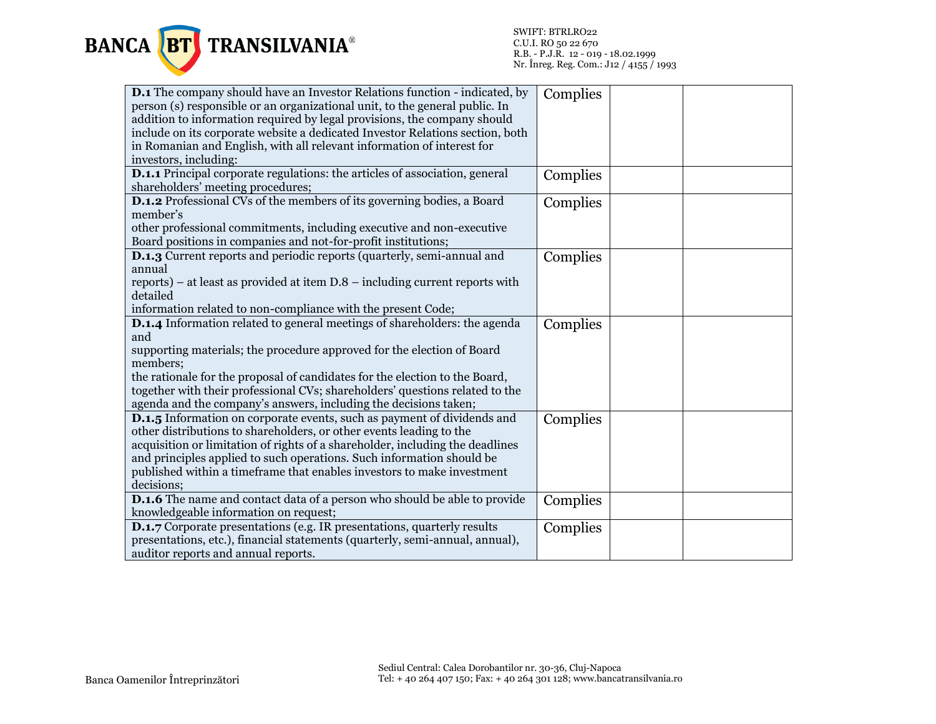

| <b>D.1</b> The company should have an Investor Relations function - indicated, by<br>person (s) responsible or an organizational unit, to the general public. In<br>addition to information required by legal provisions, the company should<br>include on its corporate website a dedicated Investor Relations section, both<br>in Romanian and English, with all relevant information of interest for<br>investors, including: | Complies |  |
|----------------------------------------------------------------------------------------------------------------------------------------------------------------------------------------------------------------------------------------------------------------------------------------------------------------------------------------------------------------------------------------------------------------------------------|----------|--|
| <b>D.1.1</b> Principal corporate regulations: the articles of association, general<br>shareholders' meeting procedures;                                                                                                                                                                                                                                                                                                          | Complies |  |
| D.1.2 Professional CVs of the members of its governing bodies, a Board<br>member's<br>other professional commitments, including executive and non-executive<br>Board positions in companies and not-for-profit institutions;                                                                                                                                                                                                     | Complies |  |
| <b>D.1.3</b> Current reports and periodic reports (quarterly, semi-annual and<br>annual<br>reports) – at least as provided at item $D.8$ – including current reports with<br>detailed<br>information related to non-compliance with the present Code;                                                                                                                                                                            | Complies |  |
| D.1.4 Information related to general meetings of shareholders: the agenda<br>and<br>supporting materials; the procedure approved for the election of Board<br>members;<br>the rationale for the proposal of candidates for the election to the Board,<br>together with their professional CVs; shareholders' questions related to the<br>agenda and the company's answers, including the decisions taken;                        | Complies |  |
| <b>D.1.5</b> Information on corporate events, such as payment of dividends and<br>other distributions to shareholders, or other events leading to the<br>acquisition or limitation of rights of a shareholder, including the deadlines<br>and principles applied to such operations. Such information should be<br>published within a timeframe that enables investors to make investment<br>decisions;                          | Complies |  |
| <b>D.1.6</b> The name and contact data of a person who should be able to provide<br>knowledgeable information on request;                                                                                                                                                                                                                                                                                                        | Complies |  |
| <b>D.1.7</b> Corporate presentations (e.g. IR presentations, quarterly results<br>presentations, etc.), financial statements (quarterly, semi-annual, annual),<br>auditor reports and annual reports.                                                                                                                                                                                                                            | Complies |  |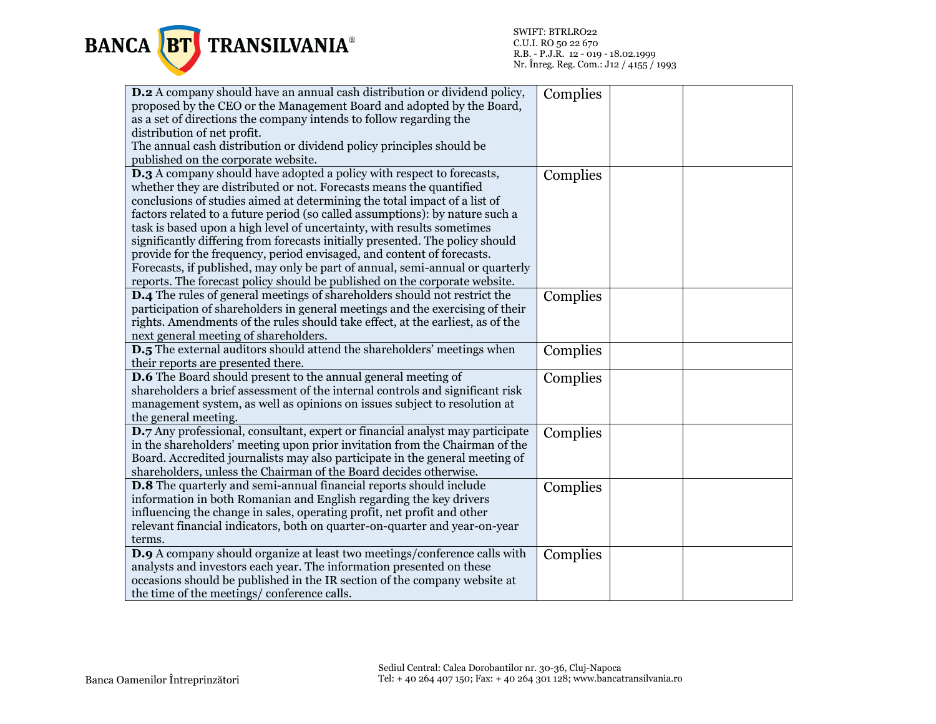

| <b>D.2</b> A company should have an annual cash distribution or dividend policy, | Complies |  |
|----------------------------------------------------------------------------------|----------|--|
| proposed by the CEO or the Management Board and adopted by the Board,            |          |  |
| as a set of directions the company intends to follow regarding the               |          |  |
| distribution of net profit.                                                      |          |  |
| The annual cash distribution or dividend policy principles should be             |          |  |
| published on the corporate website.                                              |          |  |
| <b>D.3</b> A company should have adopted a policy with respect to forecasts,     | Complies |  |
| whether they are distributed or not. Forecasts means the quantified              |          |  |
| conclusions of studies aimed at determining the total impact of a list of        |          |  |
| factors related to a future period (so called assumptions): by nature such a     |          |  |
| task is based upon a high level of uncertainty, with results sometimes           |          |  |
| significantly differing from forecasts initially presented. The policy should    |          |  |
| provide for the frequency, period envisaged, and content of forecasts.           |          |  |
| Forecasts, if published, may only be part of annual, semi-annual or quarterly    |          |  |
| reports. The forecast policy should be published on the corporate website.       |          |  |
| <b>D.4</b> The rules of general meetings of shareholders should not restrict the | Complies |  |
| participation of shareholders in general meetings and the exercising of their    |          |  |
| rights. Amendments of the rules should take effect, at the earliest, as of the   |          |  |
| next general meeting of shareholders.                                            |          |  |
| <b>D.5</b> The external auditors should attend the shareholders' meetings when   | Complies |  |
| their reports are presented there.                                               |          |  |
| <b>D.6</b> The Board should present to the annual general meeting of             | Complies |  |
| shareholders a brief assessment of the internal controls and significant risk    |          |  |
| management system, as well as opinions on issues subject to resolution at        |          |  |
| the general meeting.                                                             |          |  |
| D.7 Any professional, consultant, expert or financial analyst may participate    | Complies |  |
| in the shareholders' meeting upon prior invitation from the Chairman of the      |          |  |
| Board. Accredited journalists may also participate in the general meeting of     |          |  |
| shareholders, unless the Chairman of the Board decides otherwise.                |          |  |
| <b>D.8</b> The quarterly and semi-annual financial reports should include        | Complies |  |
| information in both Romanian and English regarding the key drivers               |          |  |
| influencing the change in sales, operating profit, net profit and other          |          |  |
| relevant financial indicators, both on quarter-on-quarter and year-on-year       |          |  |
| terms.                                                                           |          |  |
| D.9 A company should organize at least two meetings/conference calls with        | Complies |  |
| analysts and investors each year. The information presented on these             |          |  |
| occasions should be published in the IR section of the company website at        |          |  |
| the time of the meetings/conference calls.                                       |          |  |